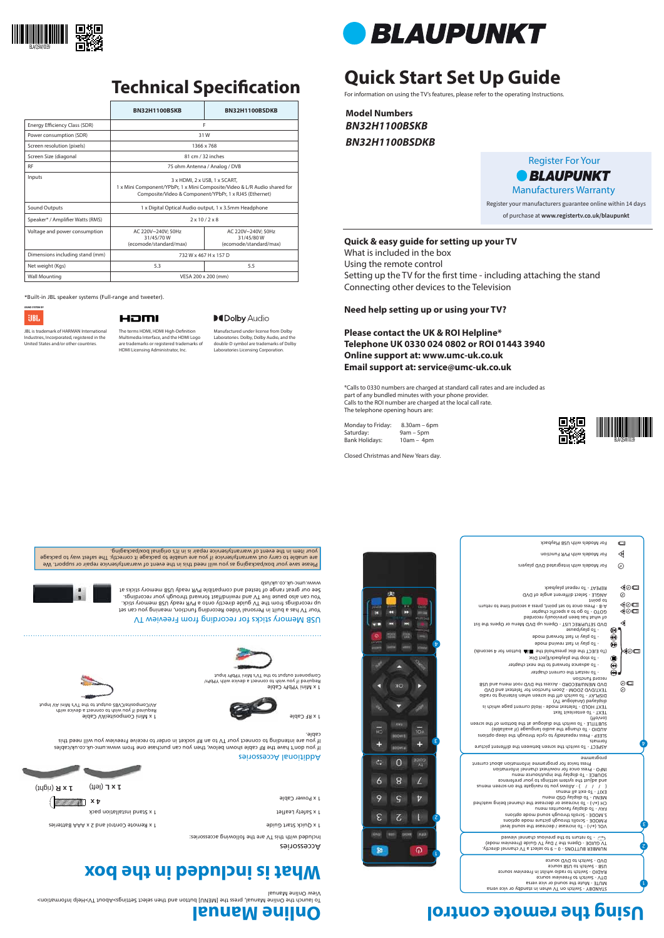# **Quick Start Set Up Guide**

For information on using the TV's features, please refer to the operating Instructions.

**Model Numbers BN32H1100BSKB BN32H1100BSDKB**

Please save your box/packaging as you will need this in the event of warranty/service repair or support. We are unable to carry out warranty/service if you are unable to package it correctly. The safest way to package your item in the event of warranty/service repair is in it's original box/packaging.

www.umc-uk.co.uk/usb

|                                  | <b>BN32H1100BSKB</b>                                                                                                                                                 | BN32H1100BSDKB                                            |
|----------------------------------|----------------------------------------------------------------------------------------------------------------------------------------------------------------------|-----------------------------------------------------------|
| Energy Efficiency Class (SDR)    | F                                                                                                                                                                    |                                                           |
| Power consumption (SDR)          | 31W                                                                                                                                                                  |                                                           |
| Screen resolution (pixels)       | 1366 x 768                                                                                                                                                           |                                                           |
| Screen Size (diagonal            | 81 cm / 32 inches                                                                                                                                                    |                                                           |
| <b>RF</b>                        | 75 ohm Antenna / Analog / DVB                                                                                                                                        |                                                           |
| Inputs                           | 3 x HDMI, 2 x USB, 1 x SCART,<br>1 x Mini Component/YPbPr, 1 x Mini Composite/Video & L/R Audio shared for<br>Composite/Video & Component/YPbPr, 1 x RJ45 (Ethernet) |                                                           |
| Sound Outputs                    | 1 x Digital Optical Audio output, 1 x 3.5mm Headphone                                                                                                                |                                                           |
| Speaker* / Amplifier Watts (RMS) | $2 \times 10 / 2 \times 8$                                                                                                                                           |                                                           |
| Voltage and power consumption    | AC 220V~240V: 50Hz<br>31/45/70W<br>(ecomode/standard/max)                                                                                                            | AC 220V~240V; 50Hz<br>31/45/80W<br>(ecomode/standard/max) |
| Dimensions including stand (mm)  | 732 W x 467 H x 157 D                                                                                                                                                |                                                           |
| Net weight (Kgs)                 | 5.3                                                                                                                                                                  | 5.5                                                       |
| <b>Wall Mounting</b>             | VESA 200 x 200 (mm)                                                                                                                                                  |                                                           |

#### **Quick & easy guide for setting up your TV**

What is included in the box Using the remote control Setting up the TV for the first time - including attaching the stand Connecting other devices to the Television

The terms HDMI, HDMI High-Definition Multimedia Interface, and the HDMI Logo are trademarks or registered trademarks of

#### **Need help setting up or using your TV?**

**Please contact the UK & ROI Helpline\* Telephone UK 0330 024 0802 or ROI 01443 3940 Online support at: www.umc-uk.co.uk Email support at: service@umc-uk.co.uk**

\*Calls to 0330 numbers are charged at standard call rates and are included as part of any bundled minutes with your phone provider. Calls to the ROI number are charged at the local call rate. The telephone opening hours are:

> NUMBER BUTTONS - 0 – 9 to select a TV channel directly. TV GUIDE - Opens the 7 Day TV Guide (Freeview 1 CD - To return to the previous channel viewed

٤

 $\bm{\mathrm{b}}$ 

Monday to Friday: 8.30am – 6pm Saturday: 9am – 5pm Bank Holidays: 10am – 4pm

Closed Christmas and New Years day.

) - To increase / decrease the sound level **+/-** VOL ( P.MODE - Scrolls through picture mode options S.MODE - Scrolls through sound mode options FAV - To display favourites menu ) - To increase or decrease the channel being watched **+/-** CH ( MENU - To display OSD menu EXIT - To exit all menus (  $\ell$  /  $\ell$  ) - Allows you for papigate the on-screen menus and solies the system settings to your preference

\*Built-in JBL speaker systems (Full-range and tweeter).

**UBL** 

#### HƏMI

JBL is trademark of HARMAN International Industries, Incorporated, registered in the United States and/or other countries.

**What is included in the box**

et 1 x Safety Leaflet installation pack 1 x September 2 x September 2 x September 2 x September 2 x September 2 x S

# **Using the remote control**



2

l

**Online Manual**

To launch the Online Manual, press the [MENU] button and then select Settings>About TV>Help Information>

View Online Manual





## **Technical Specification**

HDMI Licensing Administrator, Inc.

#### **MDolby Audio**

**4 x**





Register For Your *• BLAUPUNKT* Manufacturers Warranty Register your manufacturers guarantee online within 14 days of purchase at **www.registertv.co.uk/blaupunkt**

Your TV has a built in Personal Video Recording function, meaning you can set up recordings from the TV guide directly onto a PVR ready USB memory stick. You can also pause live TV and rewind/fast forward through your recordings. See our great range of tested and compatible PVR ready USB memory sticks at

### Additional Accessories

If you don't have the RF cable shown below, then you can purchase one from www.umc-uk.co.uk/cables If you are intending to connect your TV to an RF socket in order to receive Freeview you will need this cable.

1 x Quick Start Guilde Control and 2 x Pennsylvan and 2 x Pennsylvan and 2 x Pennsylvan Start Guide Start Guide

Manufactured under license from Dolby Laboratories. Dolby, Dolby Audio, and the double-D symbol are trademarks of Dolby Laboratories Licensing Corporation.



STANDBY - Switch on TV when in standby or vice versa MUTE - Mute the sound or vice versa DTV - Switch to Freeview source RADIO - Switch to radio whilst in Freeview source USB - Switch to USB source DVD - Switch to DVD source

SOURCE - To display the input/source menu INFO - Press once for now/next channel information Press twice for programme information about current programme

ASPECT - To switch the screen between the different picture formats SLEEP - Press repeatedly to cycle through the sleep options AUDIO - To change the audio language (if available) SUBTITLE - To switch the dialogue at the bottom of the screen (on/off) TEXT - To enter/exit Text

TEXT HOLD - Teletext mode - Hold current page which is

| For Models with USB Playback                                                                                                                                                              | $\Box$              |
|-------------------------------------------------------------------------------------------------------------------------------------------------------------------------------------------|---------------------|
| For Models with PVR Function                                                                                                                                                              | $\triangleleft$     |
| For Models with Integrated DVD players                                                                                                                                                    | ⊚                   |
| REPEAT - To repeat playback<br>ANGLE - Select different angle of DVD<br>to point                                                                                                          | ◀◎□<br>⊚            |
| A-B - Press once to set point, press a second time to return<br>GOTO - To go to a specific chapter<br>of what has been previously recorded                                                | ◀◎□<br>(⊙⊜          |
| DVD SETUP/REC LIST - Opens up DVD Menu or Opens the list<br>- Lo bjsv\bsnee                                                                                                               | ◁<br>®              |
| - To play in tast forward mode<br>- To play in 1ast rewind mode                                                                                                                           | ❀<br>$\bf \Phi$     |
| (abnose A rot nottud All 9dt blod as a sib edt T31LE oT)<br>- To stop the playback/Eject Disc                                                                                             | ৰ⊙⊏                 |
| - To advance forward to the next chapter<br>- To restart the current chapter                                                                                                              | ⊕<br>(HH)           |
| record function<br>DVD MENU/RECORD - Access the DVD root menu and USB<br>TEXT/DVD ZOOM - Zoom function for Teletext and DVD<br>DISPLAY - To switch off the screen when listening to radio | $\odot$ $\Box$<br>⊚ |
| (VT supolsnA) beysiqaib                                                                                                                                                                   |                     |

1 x Mini Composite/AV Cable Required if you wish to connect a device with

AV/Composite/CVBS output to the TV's Mini AV Input

1 x Mini YPbPr Cable Required if you wish to connect a device with YPbPr/ Component output to the TV's Mini YPbPr Input

1 x RF Cable



Accessories

Included with this TV are the following accessories:



(right) **1 x R** (left) **1 x L** 

1 x Power Cable